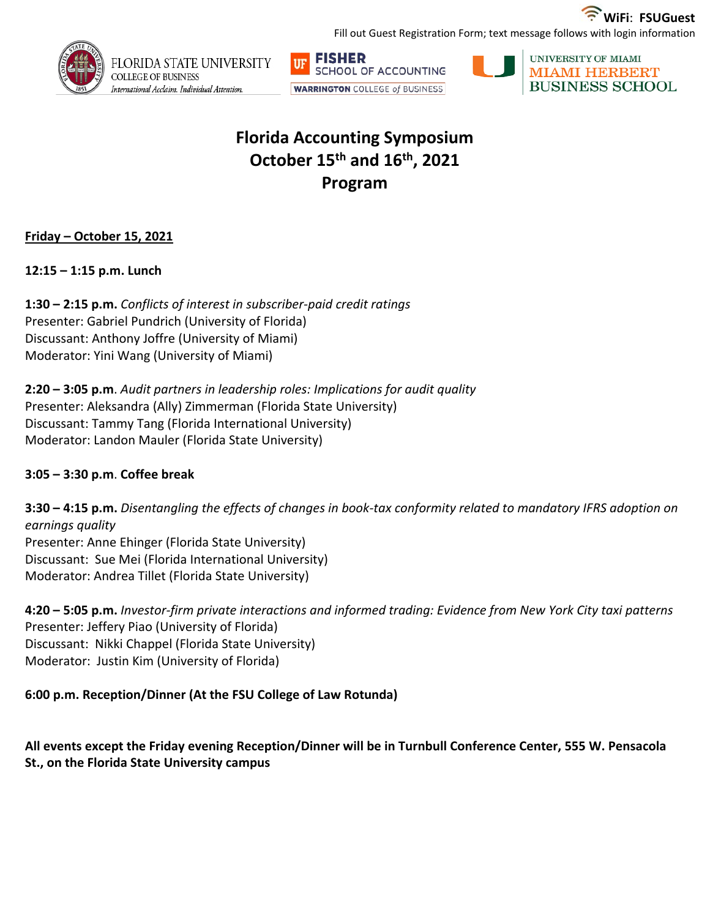

Fill out Guest Registration Form; text message follows with login information







# **Florida Accounting Symposium October 15th and 16th, 2021 Program**

## **Friday – October 15, 2021**

**12:15 – 1:15 p.m. Lunch** 

**1:30 – 2:15 p.m.** *Conflicts of interest in subscriber-paid credit ratings* Presenter: Gabriel Pundrich (University of Florida) Discussant: Anthony Joffre (University of Miami) Moderator: Yini Wang (University of Miami)

**2:20 – 3:05 p.m**. *Audit partners in leadership roles: Implications for audit quality* Presenter: Aleksandra (Ally) Zimmerman (Florida State University) Discussant: Tammy Tang (Florida International University) Moderator: Landon Mauler (Florida State University)

### **3:05 – 3:30 p.m**. **Coffee break**

**3:30 – 4:15 p.m.** *Disentangling the effects of changes in book-tax conformity related to mandatory IFRS adoption on earnings quality* Presenter: Anne Ehinger (Florida State University) Discussant: Sue Mei (Florida International University) Moderator: Andrea Tillet (Florida State University)

**4:20 – 5:05 p.m.** *Investor-firm private interactions and informed trading: Evidence from New York City taxi patterns* Presenter: Jeffery Piao (University of Florida) Discussant: Nikki Chappel (Florida State University) Moderator: Justin Kim (University of Florida)

## **6:00 p.m. Reception/Dinner (At the FSU College of Law Rotunda)**

**All events except the Friday evening Reception/Dinner will be in Turnbull Conference Center, 555 W. Pensacola St., on the Florida State University campus**